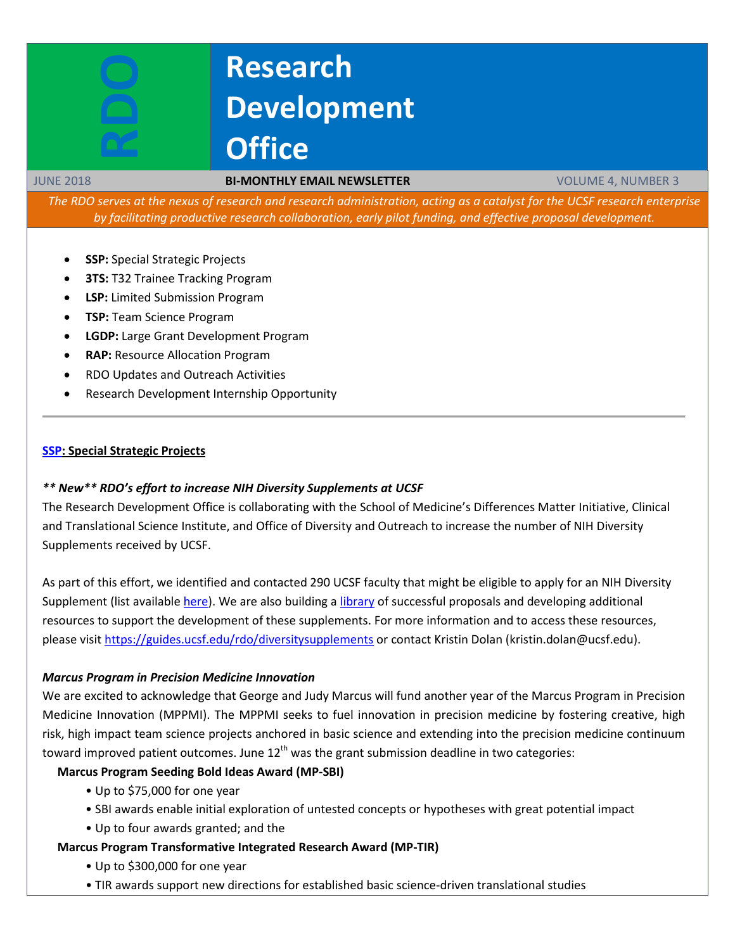# **Research Development Office**

#### JUNE 2018 **BI-MONTHLY EMAIL NEWSLETTER** VOLUME 4, NUMBER 3

*The RDO serves at the nexus of research and research administration, acting as a catalyst for the UCSF research enterprise by facilitating productive research collaboration, early pilot funding, and effective proposal development.*

- **SSP:** Special Strategic Projects
- **3TS: T32 Trainee Tracking Program**
- **LSP:** Limited Submission Program
- **TSP:** Team Science Program
- **LGDP:** Large Grant Development Program
- **RAP:** Resource Allocation Program
- RDO Updates and Outreach Activities
- Research Development Internship Opportunity

#### **[SSP:](http://rdo.ucsf.edu/special-strategic-projects-ssp) Special Strategic Projects**

#### *\*\* New\*\* RDO's effort to increase NIH Diversity Supplements at UCSF*

The Research Development Office is collaborating with the School of Medicine's Differences Matter Initiative, Clinical and Translational Science Institute, and Office of Diversity and Outreach to increase the number of NIH Diversity Supplements received by UCSF.

As part of this effort, we identified and contacted 290 UCSF faculty that might be eligible to apply for an NIH Diversity Supplement (list available [here\)](https://ucsf.box.com/v/eligible-ds-awards). We are also building a [library](https://ucsf.box.com/v/diversitysupplements) of successful proposals and developing additional resources to support the development of these supplements. For more information and to access these resources, please visit<https://guides.ucsf.edu/rdo/diversitysupplements> or contact Kristin Dolan (kristin.dolan@ucsf.edu).

#### *Marcus Program in Precision Medicine Innovation*

We are excited to acknowledge that George and Judy Marcus will fund another year of the Marcus Program in Precision Medicine Innovation (MPPMI). The MPPMI seeks to fuel innovation in precision medicine by fostering creative, high risk, high impact team science projects anchored in basic science and extending into the precision medicine continuum toward improved patient outcomes. June  $12<sup>th</sup>$  was the grant submission deadline in two categories:

# **Marcus Program Seeding Bold Ideas Award (MP-SBI)**

- Up to \$75,000 for one year
- SBI awards enable initial exploration of untested concepts or hypotheses with great potential impact
- Up to four awards granted; and the

#### **Marcus Program Transformative Integrated Research Award (MP-TIR)**

- Up to \$300,000 for one year
- TIR awards support new directions for established basic science-driven translational studies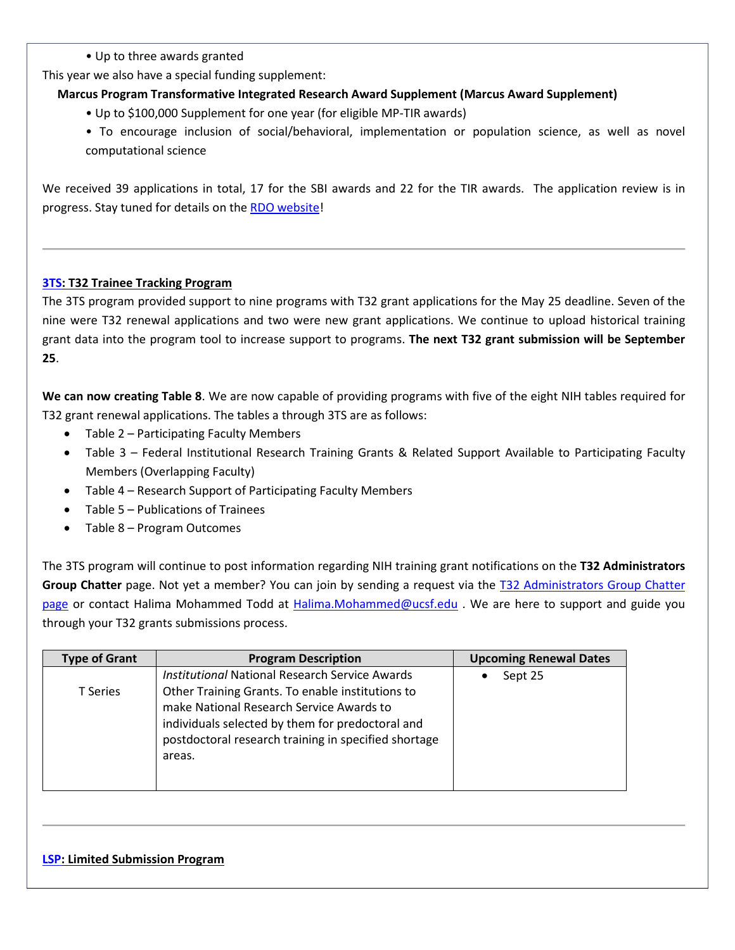• Up to three awards granted

This year we also have a special funding supplement:

# **Marcus Program Transformative Integrated Research Award Supplement (Marcus Award Supplement)**

- Up to \$100,000 Supplement for one year (for eligible MP-TIR awards)
- To encourage inclusion of social/behavioral, implementation or population science, as well as novel computational science

We received 39 applications in total, 17 for the SBI awards and 22 for the TIR awards. The application review is in progress. Stay tuned for details on th[e RDO website!](https://rdo.ucsf.edu/news/marcus-program-precision-medicine-innovation-overview)

# **[3TS:](https://accelerate.ucsf.edu/training/t32-resources#tracking) T32 Trainee Tracking Program**

The 3TS program provided support to nine programs with T32 grant applications for the May 25 deadline. Seven of the nine were T32 renewal applications and two were new grant applications. We continue to upload historical training grant data into the program tool to increase support to programs. **The next T32 grant submission will be September 25**.

**We can now creating Table 8**. We are now capable of providing programs with five of the eight NIH tables required for T32 grant renewal applications. The tables a through 3TS are as follows:

- Table 2 Participating Faculty Members
- Table 3 Federal Institutional Research Training Grants & Related Support Available to Participating Faculty Members (Overlapping Faculty)
- Table 4 Research Support of Participating Faculty Members
- Table 5 Publications of Trainees
- Table 8 Program Outcomes

The 3TS program will continue to post information regarding NIH training grant notifications on the **T32 Administrators Group Chatter** page. Not yet a member? You can join by sending a request via the [T32 Administrators Group Chatter](https://ucsf.my.salesforce.com/_ui/core/chatter/groups/GroupProfilePage?g=0F9A00000004SyW)  [page](https://ucsf.my.salesforce.com/_ui/core/chatter/groups/GroupProfilePage?g=0F9A00000004SyW) or contact Halima Mohammed Todd at [Halima.Mohammed@ucsf.edu](mailto:Halima.Mohammed@ucsf.edu) . We are here to support and guide you through your T32 grants submissions process.

| <b>Type of Grant</b> | <b>Program Description</b>                                                                                                                                                                                                                                                  | <b>Upcoming Renewal Dates</b> |
|----------------------|-----------------------------------------------------------------------------------------------------------------------------------------------------------------------------------------------------------------------------------------------------------------------------|-------------------------------|
| T Series             | <b>Institutional National Research Service Awards</b><br>Other Training Grants. To enable institutions to<br>make National Research Service Awards to<br>individuals selected by them for predoctoral and<br>postdoctoral research training in specified shortage<br>areas. | Sept 25                       |

#### **[LSP:](http://rdo.ucsf.edu/limited-submission-program-lsp) Limited Submission Program**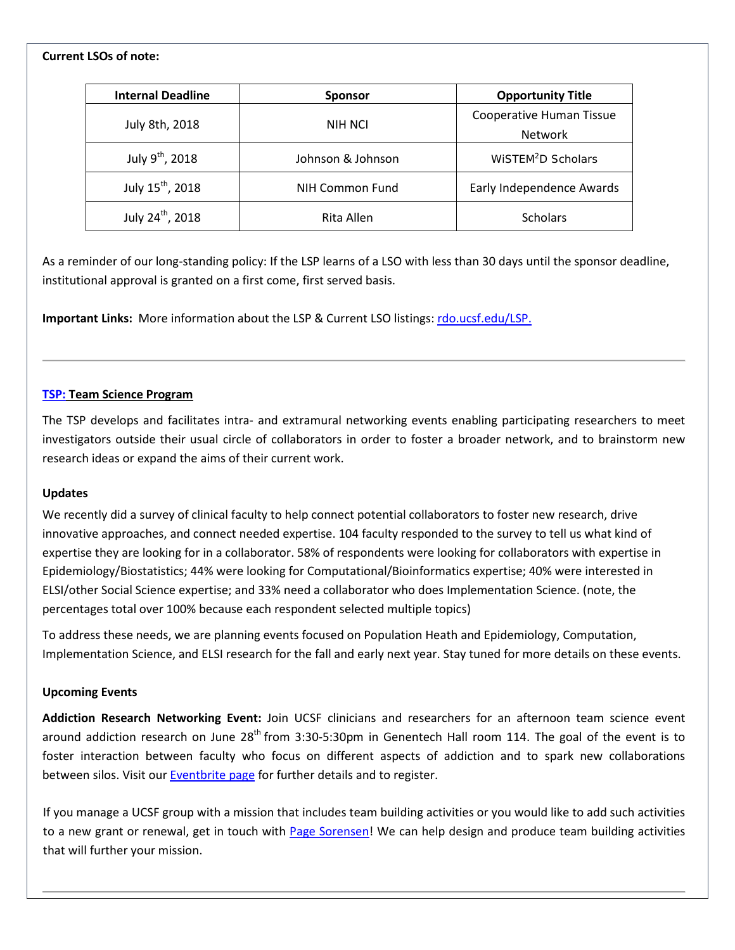# **Current LSOs of note:**

| <b>Internal Deadline</b>     | <b>Sponsor</b>    | <b>Opportunity Title</b>                   |
|------------------------------|-------------------|--------------------------------------------|
| July 8th, 2018               | <b>NIH NCI</b>    | Cooperative Human Tissue<br><b>Network</b> |
| July 9 <sup>th</sup> , 2018  | Johnson & Johnson | WISTEM <sup>2</sup> D Scholars             |
| July 15 <sup>th</sup> , 2018 | NIH Common Fund   | Early Independence Awards                  |
| July 24 <sup>th</sup> , 2018 | Rita Allen        | <b>Scholars</b>                            |

As a reminder of our long-standing policy: If the LSP learns of a LSO with less than 30 days until the sponsor deadline, institutional approval is granted on a first come, first served basis.

**Important Links:** More information about the LSP & Current LSO listings[: rdo.ucsf.edu/LSP.](http://rdo.ucsf.edu/limited-submission-program-lsp)

#### **[TSP:](http://rdo.ucsf.edu/team-science-research-innovation-program-tsrip) Team Science Program**

The TSP develops and facilitates intra- and extramural networking events enabling participating researchers to meet investigators outside their usual circle of collaborators in order to foster a broader network, and to brainstorm new research ideas or expand the aims of their current work.

#### **Updates**

We recently did a survey of clinical faculty to help connect potential collaborators to foster new research, drive innovative approaches, and connect needed expertise. 104 faculty responded to the survey to tell us what kind of expertise they are looking for in a collaborator. 58% of respondents were looking for collaborators with expertise in Epidemiology/Biostatistics; 44% were looking for Computational/Bioinformatics expertise; 40% were interested in ELSI/other Social Science expertise; and 33% need a collaborator who does Implementation Science. (note, the percentages total over 100% because each respondent selected multiple topics)

To address these needs, we are planning events focused on Population Heath and Epidemiology, Computation, Implementation Science, and ELSI research for the fall and early next year. Stay tuned for more details on these events.

#### **Upcoming Events**

**Addiction Research Networking Event:** Join UCSF clinicians and researchers for an afternoon team science event around addiction research on June  $28<sup>th</sup>$  from 3:30-5:30pm in Genentech Hall room 114. The goal of the event is to foster interaction between faculty who focus on different aspects of addiction and to spark new collaborations between silos. Visit our [Eventbrite page](https://www.eventbrite.com/e/addiction-research-networking-event-tickets-46303119878?aff=announcements) for further details and to register.

If you manage a UCSF group with a mission that includes team building activities or you would like to add such activities to a new grant or renewal, get in touch with [Page Sorensen!](mailto:page.sorensen@ucsf.edu) We can help design and produce team building activities that will further your mission.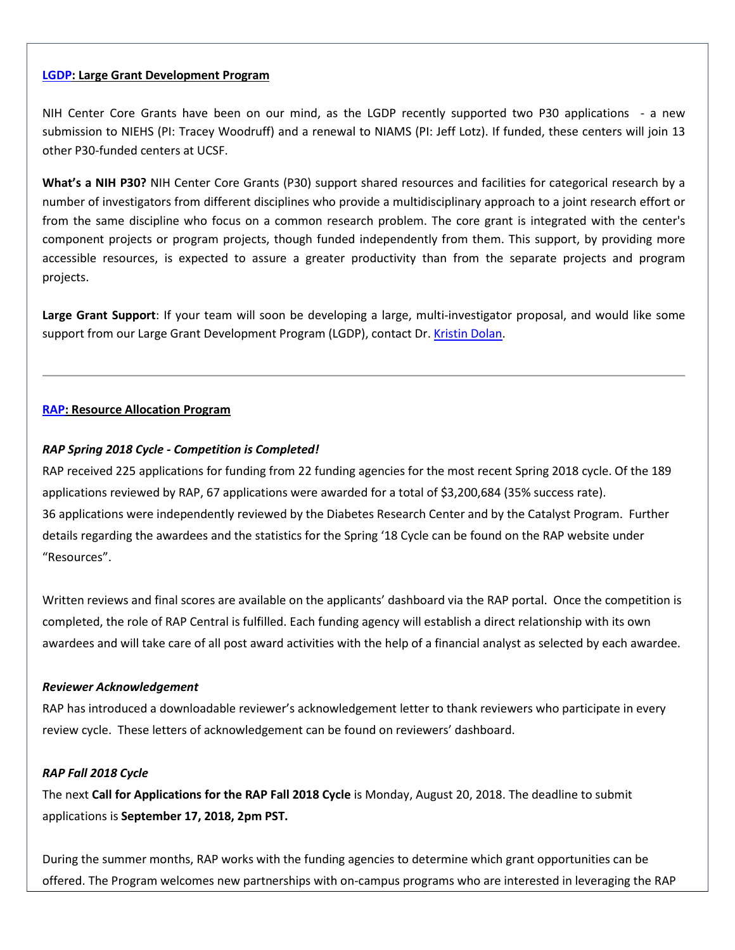#### **[LGDP:](http://rdo.ucsf.edu/large-grant-development-program-lgdp) Large Grant Development Program**

NIH Center Core Grants have been on our mind, as the LGDP recently supported two P30 applications - a new submission to NIEHS (PI: Tracey Woodruff) and a renewal to NIAMS (PI: Jeff Lotz). If funded, these centers will join 13 other P30-funded centers at UCSF.

**What's a NIH P30?** NIH Center Core Grants (P30) support shared resources and facilities for categorical research by a number of investigators from different disciplines who provide a multidisciplinary approach to a joint research effort or from the same discipline who focus on a common research problem. The core grant is integrated with the center's component projects or program projects, though funded independently from them. This support, by providing more accessible resources, is expected to assure a greater productivity than from the separate projects and program projects.

**Large Grant Support**: If your team will soon be developing a large, multi-investigator proposal, and would like some support from our Large Grant Development Program (LGDP), contact Dr[. Kristin Dolan.](mailto:kristin.dolan@ucsf.edu?subject=Large%20grant%20support)

#### **[RAP:](https://rap.ucsf.edu/) Resource Allocation Program**

#### *RAP Spring 2018 Cycle - Competition is Completed!*

RAP received 225 applications for funding from 22 funding agencies for the most recent Spring 2018 cycle. Of the 189 applications reviewed by RAP, 67 applications were awarded for a total of \$3,200,684 (35% success rate). 36 applications were independently reviewed by the Diabetes Research Center and by the Catalyst Program. Further details regarding the awardees and the statistics for the Spring '18 Cycle can be found on the RAP website under "Resources".

Written reviews and final scores are available on the applicants' dashboard via the RAP portal. Once the competition is completed, the role of RAP Central is fulfilled. Each funding agency will establish a direct relationship with its own awardees and will take care of all post award activities with the help of a financial analyst as selected by each awardee.

#### *Reviewer Acknowledgement*

RAP has introduced a downloadable reviewer's acknowledgement letter to thank reviewers who participate in every review cycle. These letters of acknowledgement can be found on reviewers' dashboard.

#### *RAP Fall 2018 Cycle*

The next **Call for Applications for the RAP Fall 2018 Cycle** is Monday, August 20, 2018. The deadline to submit applications is **September 17, 2018, 2pm PST.**

During the summer months, RAP works with the funding agencies to determine which grant opportunities can be offered. The Program welcomes new partnerships with on-campus programs who are interested in leveraging the RAP